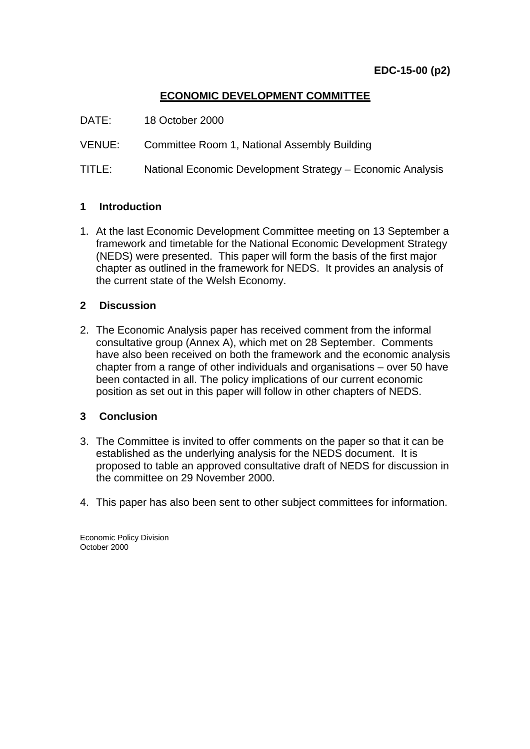# **ECONOMIC DEVELOPMENT COMMITTEE**

- DATE: 18 October 2000
- VENUE: Committee Room 1, National Assembly Building
- TITLE: National Economic Development Strategy Economic Analysis

## **1 Introduction**

1. At the last Economic Development Committee meeting on 13 September a framework and timetable for the National Economic Development Strategy (NEDS) were presented. This paper will form the basis of the first major chapter as outlined in the framework for NEDS. It provides an analysis of the current state of the Welsh Economy.

## **2 Discussion**

2. The Economic Analysis paper has received comment from the informal consultative group (Annex A), which met on 28 September. Comments have also been received on both the framework and the economic analysis chapter from a range of other individuals and organisations – over 50 have been contacted in all. The policy implications of our current economic position as set out in this paper will follow in other chapters of NEDS.

## **3 Conclusion**

- 3. The Committee is invited to offer comments on the paper so that it can be established as the underlying analysis for the NEDS document. It is proposed to table an approved consultative draft of NEDS for discussion in the committee on 29 November 2000.
- 4. This paper has also been sent to other subject committees for information.

Economic Policy Division October 2000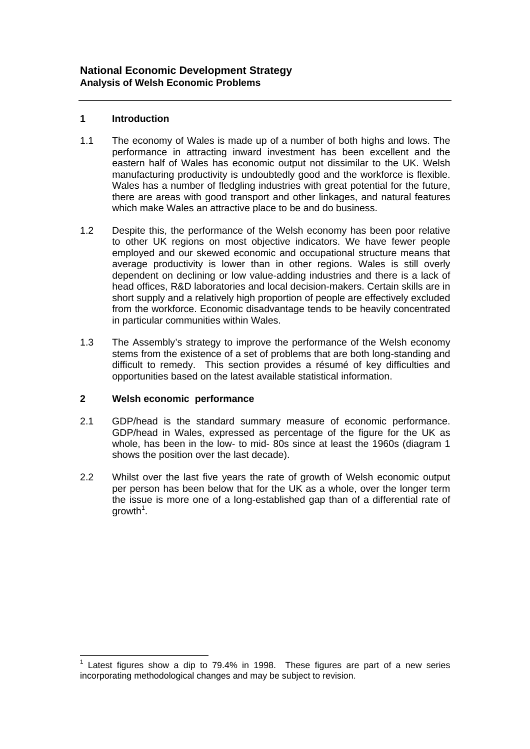#### **1 Introduction**

- 1.1 The economy of Wales is made up of a number of both highs and lows. The performance in attracting inward investment has been excellent and the eastern half of Wales has economic output not dissimilar to the UK. Welsh manufacturing productivity is undoubtedly good and the workforce is flexible. Wales has a number of fledgling industries with great potential for the future, there are areas with good transport and other linkages, and natural features which make Wales an attractive place to be and do business.
- 1.2 Despite this, the performance of the Welsh economy has been poor relative to other UK regions on most objective indicators. We have fewer people employed and our skewed economic and occupational structure means that average productivity is lower than in other regions. Wales is still overly dependent on declining or low value-adding industries and there is a lack of head offices, R&D laboratories and local decision-makers. Certain skills are in short supply and a relatively high proportion of people are effectively excluded from the workforce. Economic disadvantage tends to be heavily concentrated in particular communities within Wales.
- 1.3 The Assembly's strategy to improve the performance of the Welsh economy stems from the existence of a set of problems that are both long-standing and difficult to remedy. This section provides a résumé of key difficulties and opportunities based on the latest available statistical information.

#### **2 Welsh economic performance**

l

- 2.1 GDP/head is the standard summary measure of economic performance. GDP/head in Wales, expressed as percentage of the figure for the UK as whole, has been in the low- to mid- 80s since at least the 1960s (diagram 1 shows the position over the last decade).
- 2.2 Whilst over the last five years the rate of growth of Welsh economic output per person has been below that for the UK as a whole, over the longer term the issue is more one of a long-established gap than of a differential rate of growth<sup>1</sup>.

 $1$  Latest figures show a dip to 79.4% in 1998. These figures are part of a new series incorporating methodological changes and may be subject to revision.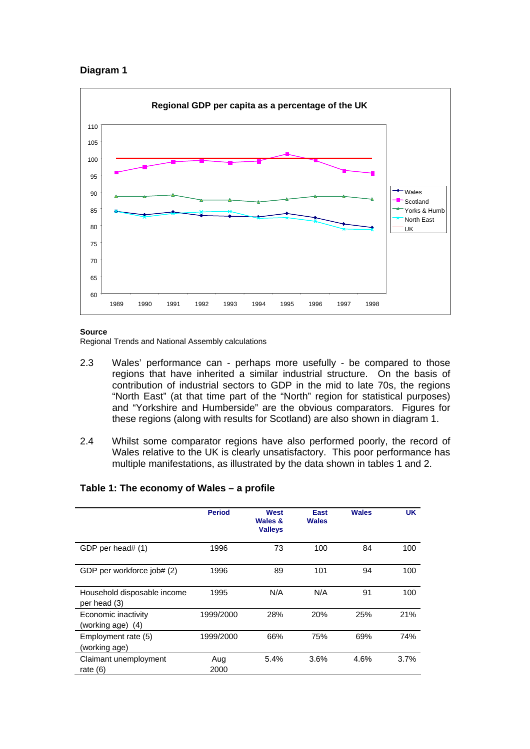#### **Diagram 1**



#### **Source**

Regional Trends and National Assembly calculations

- 2.3 Wales' performance can perhaps more usefully be compared to those regions that have inherited a similar industrial structure. On the basis of contribution of industrial sectors to GDP in the mid to late 70s, the regions "North East" (at that time part of the "North" region for statistical purposes) and "Yorkshire and Humberside" are the obvious comparators. Figures for these regions (along with results for Scotland) are also shown in diagram 1.
- 2.4 Whilst some comparator regions have also performed poorly, the record of Wales relative to the UK is clearly unsatisfactory. This poor performance has multiple manifestations, as illustrated by the data shown in tables 1 and 2.

|                                             | <b>Period</b> | West<br>Wales &<br><b>Valleys</b> | East<br><b>Wales</b> | <b>Wales</b> | <b>UK</b> |
|---------------------------------------------|---------------|-----------------------------------|----------------------|--------------|-----------|
| GDP per head# (1)                           | 1996          | 73                                | 100                  | 84           | 100       |
| GDP per workforce job# (2)                  | 1996          | 89                                | 101                  | 94           | 100       |
| Household disposable income<br>per head (3) | 1995          | N/A                               | N/A                  | 91           | 100       |
| Economic inactivity<br>(working age) (4)    | 1999/2000     | 28%                               | 20%                  | 25%          | 21%       |
| Employment rate (5)<br>(working age)        | 1999/2000     | 66%                               | 75%                  | 69%          | 74%       |
| Claimant unemployment<br>rate $(6)$         | Aug<br>2000   | 5.4%                              | 3.6%                 | 4.6%         | 3.7%      |

#### **Table 1: The economy of Wales – a profile**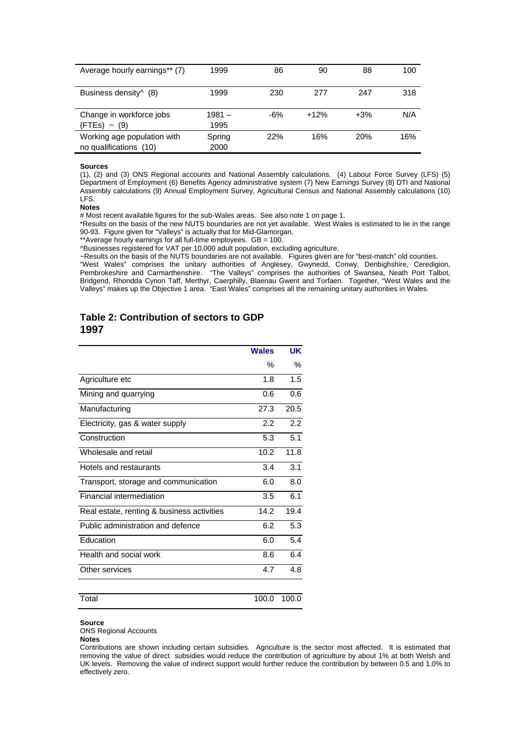| Average hourly earnings** (7)     | 1999     | 86  | 90     | 88    | 100 |
|-----------------------------------|----------|-----|--------|-------|-----|
|                                   |          |     |        |       |     |
| Business density <sup>^</sup> (8) | 1999     | 230 | 277    | 247   | 318 |
|                                   |          |     |        |       |     |
| Change in workforce jobs          | $1981 -$ | -6% | $+12%$ | $+3%$ | N/A |
| $(FTEs) \sim (9)$                 | 1995     |     |        |       |     |
| Working age population with       | Spring   | 22% | 16%    | 20%   | 16% |
| no qualifications (10)            | 2000     |     |        |       |     |

#### **Sources**

(1), (2) and (3) ONS Regional accounts and National Assembly calculations. (4) Labour Force Survey (LFS) (5) Department of Employment (6) Benefits Agency administrative system (7) New Earnings Survey (8) DTI and National Assembly calculations (9) Annual Employment Survey, Agricultural Census and National Assembly calculations (10) LFS.

#### **Notes**

# Most recent available figures for the sub-Wales areas. See also note 1 on page 1.

\*Results on the basis of the new NUTS boundaries are not yet available. West Wales is estimated to lie in the range 90-93. Figure given for "Valleys" is actually that for Mid-Glamorgan.

\*\*Average hourly earnings for all full-time employees. GB = 100.

^Businesses registered for VAT per 10,000 adult population, excluding agriculture.

~Results on the basis of the NUTS boundaries are not available. Figures given are for "best-match" old counties.

"West Wales" comprises the unitary authorities of Anglesey, Gwynedd, Conwy, Denbighshire, Ceredigion, Pembrokeshire and Carmarthenshire. "The Valleys" comprises the authorities of Swansea, Neath Port Talbot, Bridgend, Rhondda Cynon Taff, Merthyr, Caerphilly, Blaenau Gwent and Torfaen. Together, "West Wales and the Valleys" makes up the Objective 1 area. "East Wales" comprises all the remaining unitary authorities in Wales.

#### **Table 2: Contribution of sectors to GDP 1997**

|                                            | <b>Wales</b> | UK    |
|--------------------------------------------|--------------|-------|
|                                            | %            | ℅     |
| Agriculture etc                            | 1.8          | 1.5   |
| Mining and quarrying                       | 0.6          | 0.6   |
| Manufacturing                              | 27.3         | 20.5  |
| Electricity, gas & water supply            | 2.2          | 2.2   |
| Construction                               | 5.3          | 5.1   |
| Wholesale and retail                       | 10.2         | 11.8  |
| Hotels and restaurants                     | 3.4          | 3.1   |
| Transport, storage and communication       | 6.0          | 8.0   |
| <b>Financial intermediation</b>            | 3.5          | 6.1   |
| Real estate, renting & business activities | 14.2         | 19.4  |
| Public administration and defence          | 6.2          | 5.3   |
| Education                                  | 6.0          | 5.4   |
| Health and social work                     | 8.6          | 6.4   |
| Other services                             | 4.7          | 4.8   |
| Total                                      | 100.0        | 100.0 |

**Source**  ONS Regional Accounts

**Notes** 

Contributions are shown including certain subsidies. Agriculture is the sector most affected. It is estimated that removing the value of direct subsidies would reduce the contribution of agriculture by about 1% at both Welsh and UK levels. Removing the value of indirect support would further reduce the contribution by between 0.5 and 1.0% to effectively zero.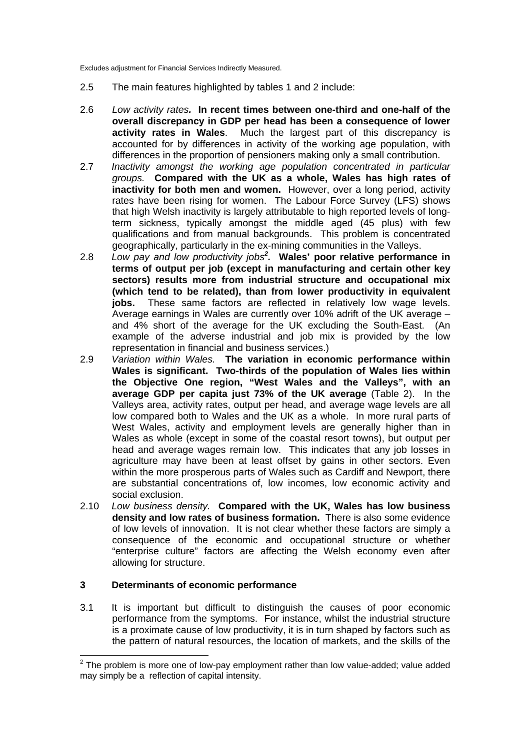Excludes adjustment for Financial Services Indirectly Measured.

- 2.5 The main features highlighted by tables 1 and 2 include:
- 2.6 *Low activity rates.* **In recent times between one-third and one-half of the overall discrepancy in GDP per head has been a consequence of lower activity rates in Wales**. Much the largest part of this discrepancy is accounted for by differences in activity of the working age population, with differences in the proportion of pensioners making only a small contribution.
- 2.7 *Inactivity amongst the working age population concentrated in particular groups.* **Compared with the UK as a whole, Wales has high rates of inactivity for both men and women.** However, over a long period, activity rates have been rising for women. The Labour Force Survey (LFS) shows that high Welsh inactivity is largely attributable to high reported levels of longterm sickness, typically amongst the middle aged (45 plus) with few qualifications and from manual backgrounds. This problem is concentrated geographically, particularly in the ex-mining communities in the Valleys.
- 2.8 *Low pay and low productivity jobs<sup>2</sup> .* **Wales' poor relative performance in terms of output per job (except in manufacturing and certain other key sectors) results more from industrial structure and occupational mix (which tend to be related), than from lower productivity in equivalent jobs.** These same factors are reflected in relatively low wage levels. Average earnings in Wales are currently over 10% adrift of the UK average – and 4% short of the average for the UK excluding the South-East. (An example of the adverse industrial and job mix is provided by the low representation in financial and business services.)
- 2.9 *Variation within Wales.* **The variation in economic performance within Wales is significant. Two-thirds of the population of Wales lies within the Objective One region, "West Wales and the Valleys", with an average GDP per capita just 73% of the UK average** (Table 2). In the Valleys area, activity rates, output per head, and average wage levels are all low compared both to Wales and the UK as a whole. In more rural parts of West Wales, activity and employment levels are generally higher than in Wales as whole (except in some of the coastal resort towns), but output per head and average wages remain low. This indicates that any job losses in agriculture may have been at least offset by gains in other sectors. Even within the more prosperous parts of Wales such as Cardiff and Newport, there are substantial concentrations of, low incomes, low economic activity and social exclusion.
- 2.10 *Low business density.* **Compared with the UK, Wales has low business density and low rates of business formation.** There is also some evidence of low levels of innovation. It is not clear whether these factors are simply a consequence of the economic and occupational structure or whether "enterprise culture" factors are affecting the Welsh economy even after allowing for structure.

#### **3 Determinants of economic performance**

3.1 It is important but difficult to distinguish the causes of poor economic performance from the symptoms. For instance, whilst the industrial structure is a proximate cause of low productivity, it is in turn shaped by factors such as the pattern of natural resources, the location of markets, and the skills of the

l  $2$  The problem is more one of low-pay employment rather than low value-added; value added may simply be a reflection of capital intensity.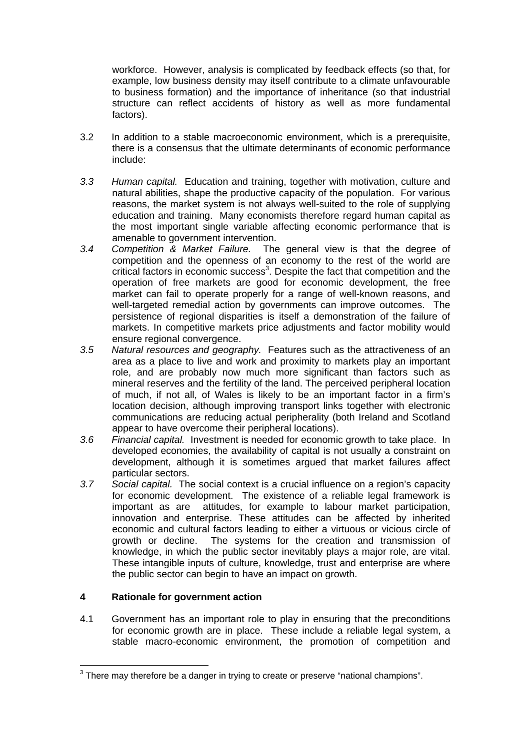workforce. However, analysis is complicated by feedback effects (so that, for example, low business density may itself contribute to a climate unfavourable to business formation) and the importance of inheritance (so that industrial structure can reflect accidents of history as well as more fundamental factors).

- 3.2 In addition to a stable macroeconomic environment, which is a prerequisite, there is a consensus that the ultimate determinants of economic performance include:
- *3.3 Human capital.* Education and training, together with motivation, culture and natural abilities, shape the productive capacity of the population. For various reasons, the market system is not always well-suited to the role of supplying education and training. Many economists therefore regard human capital as the most important single variable affecting economic performance that is amenable to government intervention.
- *3.4 Competition & Market Failure.* The general view is that the degree of competition and the openness of an economy to the rest of the world are critical factors in economic success<sup>3</sup>. Despite the fact that competition and the operation of free markets are good for economic development, the free market can fail to operate properly for a range of well-known reasons, and well-targeted remedial action by governments can improve outcomes. The persistence of regional disparities is itself a demonstration of the failure of markets. In competitive markets price adjustments and factor mobility would ensure regional convergence.
- *3.5 Natural resources and geography.* Features such as the attractiveness of an area as a place to live and work and proximity to markets play an important role, and are probably now much more significant than factors such as mineral reserves and the fertility of the land. The perceived peripheral location of much, if not all, of Wales is likely to be an important factor in a firm's location decision, although improving transport links together with electronic communications are reducing actual peripherality (both Ireland and Scotland appear to have overcome their peripheral locations).
- *3.6 Financial capital.* Investment is needed for economic growth to take place. In developed economies, the availability of capital is not usually a constraint on development, although it is sometimes argued that market failures affect particular sectors.
- *3.7 Social capital.* The social context is a crucial influence on a region's capacity for economic development. The existence of a reliable legal framework is important as are attitudes, for example to labour market participation, innovation and enterprise. These attitudes can be affected by inherited economic and cultural factors leading to either a virtuous or vicious circle of growth or decline. The systems for the creation and transmission of knowledge, in which the public sector inevitably plays a major role, are vital. These intangible inputs of culture, knowledge, trust and enterprise are where the public sector can begin to have an impact on growth.

#### **4 Rationale for government action**

4.1 Government has an important role to play in ensuring that the preconditions for economic growth are in place. These include a reliable legal system, a stable macro-economic environment, the promotion of competition and

l  $3$  There may therefore be a danger in trying to create or preserve "national champions".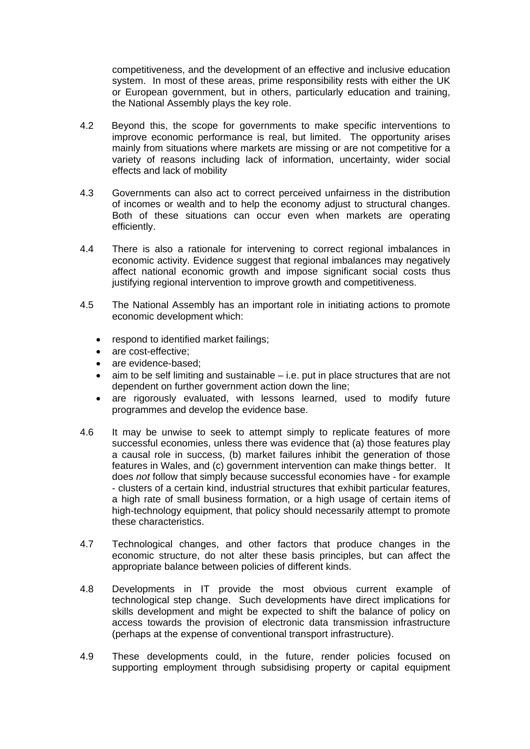competitiveness, and the development of an effective and inclusive education system. In most of these areas, prime responsibility rests with either the UK or European government, but in others, particularly education and training, the National Assembly plays the key role.

- 4.2 Beyond this, the scope for governments to make specific interventions to improve economic performance is real, but limited. The opportunity arises mainly from situations where markets are missing or are not competitive for a variety of reasons including lack of information, uncertainty, wider social effects and lack of mobility
- 4.3 Governments can also act to correct perceived unfairness in the distribution of incomes or wealth and to help the economy adjust to structural changes. Both of these situations can occur even when markets are operating efficiently.
- 4.4 There is also a rationale for intervening to correct regional imbalances in economic activity. Evidence suggest that regional imbalances may negatively affect national economic growth and impose significant social costs thus justifying regional intervention to improve growth and competitiveness.
- 4.5 The National Assembly has an important role in initiating actions to promote economic development which:
	- respond to identified market failings;
	- are cost-effective;
	- are evidence-based:
	- aim to be self limiting and sustainable i.e. put in place structures that are not dependent on further government action down the line;
	- are rigorously evaluated, with lessons learned, used to modify future programmes and develop the evidence base.
- 4.6 It may be unwise to seek to attempt simply to replicate features of more successful economies, unless there was evidence that (a) those features play a causal role in success, (b) market failures inhibit the generation of those features in Wales, and (c) government intervention can make things better. It does *not* follow that simply because successful economies have - for example - clusters of a certain kind, industrial structures that exhibit particular features, a high rate of small business formation, or a high usage of certain items of high-technology equipment, that policy should necessarily attempt to promote these characteristics.
- 4.7 Technological changes, and other factors that produce changes in the economic structure, do not alter these basis principles, but can affect the appropriate balance between policies of different kinds.
- 4.8 Developments in IT provide the most obvious current example of technological step change. Such developments have direct implications for skills development and might be expected to shift the balance of policy on access towards the provision of electronic data transmission infrastructure (perhaps at the expense of conventional transport infrastructure).
- 4.9 These developments could, in the future, render policies focused on supporting employment through subsidising property or capital equipment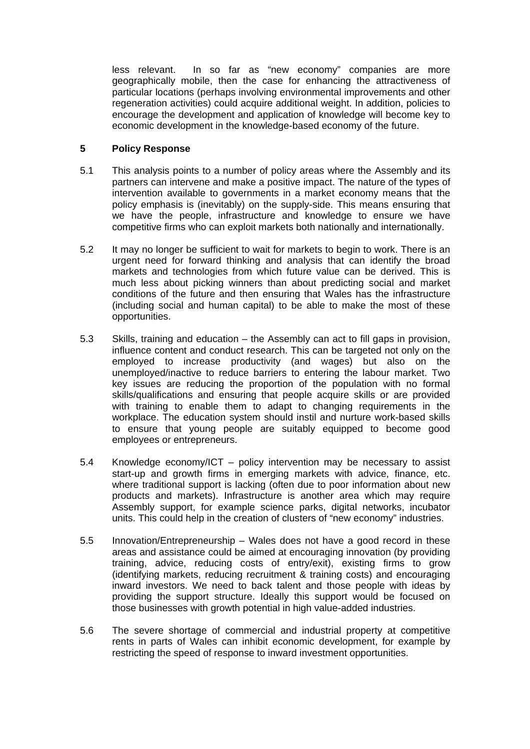less relevant. In so far as "new economy" companies are more geographically mobile, then the case for enhancing the attractiveness of particular locations (perhaps involving environmental improvements and other regeneration activities) could acquire additional weight. In addition, policies to encourage the development and application of knowledge will become key to economic development in the knowledge-based economy of the future.

#### **5 Policy Response**

- 5.1 This analysis points to a number of policy areas where the Assembly and its partners can intervene and make a positive impact. The nature of the types of intervention available to governments in a market economy means that the policy emphasis is (inevitably) on the supply-side. This means ensuring that we have the people, infrastructure and knowledge to ensure we have competitive firms who can exploit markets both nationally and internationally.
- 5.2 It may no longer be sufficient to wait for markets to begin to work. There is an urgent need for forward thinking and analysis that can identify the broad markets and technologies from which future value can be derived. This is much less about picking winners than about predicting social and market conditions of the future and then ensuring that Wales has the infrastructure (including social and human capital) to be able to make the most of these opportunities.
- 5.3 Skills, training and education the Assembly can act to fill gaps in provision, influence content and conduct research. This can be targeted not only on the employed to increase productivity (and wages) but also on the unemployed/inactive to reduce barriers to entering the labour market. Two key issues are reducing the proportion of the population with no formal skills/qualifications and ensuring that people acquire skills or are provided with training to enable them to adapt to changing requirements in the workplace. The education system should instil and nurture work-based skills to ensure that young people are suitably equipped to become good employees or entrepreneurs.
- 5.4 Knowledge economy/ICT policy intervention may be necessary to assist start-up and growth firms in emerging markets with advice, finance, etc. where traditional support is lacking (often due to poor information about new products and markets). Infrastructure is another area which may require Assembly support, for example science parks, digital networks, incubator units. This could help in the creation of clusters of "new economy" industries.
- 5.5 Innovation/Entrepreneurship Wales does not have a good record in these areas and assistance could be aimed at encouraging innovation (by providing training, advice, reducing costs of entry/exit), existing firms to grow (identifying markets, reducing recruitment & training costs) and encouraging inward investors. We need to back talent and those people with ideas by providing the support structure. Ideally this support would be focused on those businesses with growth potential in high value-added industries.
- 5.6 The severe shortage of commercial and industrial property at competitive rents in parts of Wales can inhibit economic development, for example by restricting the speed of response to inward investment opportunities.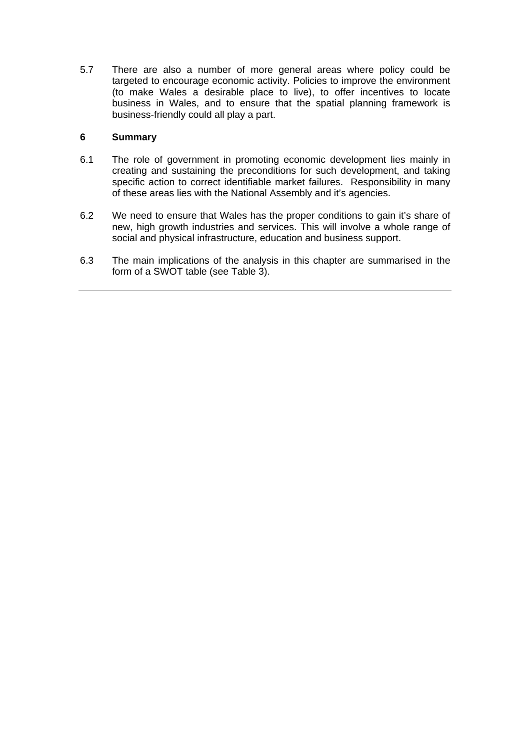5.7 There are also a number of more general areas where policy could be targeted to encourage economic activity. Policies to improve the environment (to make Wales a desirable place to live), to offer incentives to locate business in Wales, and to ensure that the spatial planning framework is business-friendly could all play a part.

### **6 Summary**

- 6.1 The role of government in promoting economic development lies mainly in creating and sustaining the preconditions for such development, and taking specific action to correct identifiable market failures. Responsibility in many of these areas lies with the National Assembly and it's agencies.
- 6.2 We need to ensure that Wales has the proper conditions to gain it's share of new, high growth industries and services. This will involve a whole range of social and physical infrastructure, education and business support.
- 6.3 The main implications of the analysis in this chapter are summarised in the form of a SWOT table (see Table 3).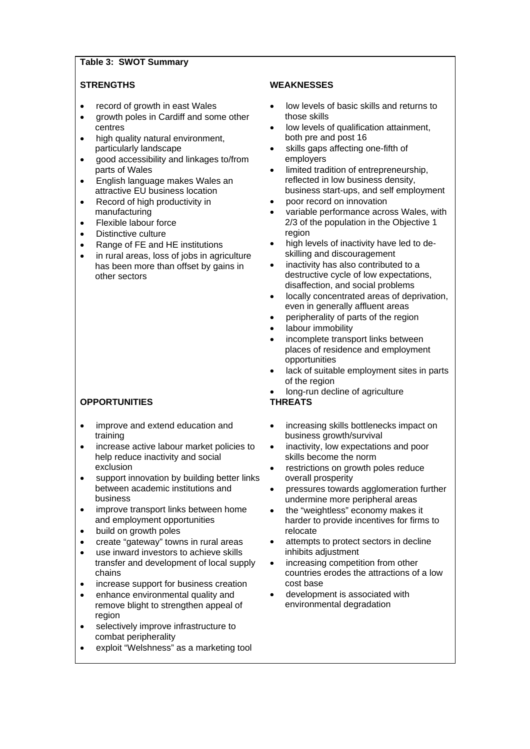#### **Table 3: SWOT Summary**

- record of growth in east Wales
- growth poles in Cardiff and some other centres
- high quality natural environment. particularly landscape
- good accessibility and linkages to/from parts of Wales
- English language makes Wales an attractive EU business location
- Record of high productivity in manufacturing
- Flexible labour force
- Distinctive culture
- Range of FE and HE institutions
- in rural areas, loss of jobs in agriculture has been more than offset by gains in other sectors

## **OPPORTUNITIES THREATS**

- improve and extend education and training
- increase active labour market policies to help reduce inactivity and social exclusion
- support innovation by building better links between academic institutions and business
- improve transport links between home and employment opportunities
- build on growth poles
- create "gateway" towns in rural areas
- use inward investors to achieve skills transfer and development of local supply chains
- increase support for business creation
- enhance environmental quality and remove blight to strengthen appeal of region
- selectively improve infrastructure to combat peripherality
- exploit "Welshness" as a marketing tool

#### **STRENGTHS WEAKNESSES**

- low levels of basic skills and returns to those skills
- low levels of qualification attainment, both pre and post 16
- skills gaps affecting one-fifth of employers
- limited tradition of entrepreneurship, reflected in low business density, business start-ups, and self employment
- poor record on innovation
- variable performance across Wales, with 2/3 of the population in the Objective 1 region
- high levels of inactivity have led to deskilling and discouragement
- inactivity has also contributed to a destructive cycle of low expectations, disaffection, and social problems
- locally concentrated areas of deprivation, even in generally affluent areas
- peripherality of parts of the region
- labour immobility
- incomplete transport links between places of residence and employment opportunities
- lack of suitable employment sites in parts of the region
- long-run decline of agriculture

- increasing skills bottlenecks impact on business growth/survival
- inactivity, low expectations and poor skills become the norm
- restrictions on growth poles reduce overall prosperity
- pressures towards agglomeration further undermine more peripheral areas
- the "weightless" economy makes it harder to provide incentives for firms to relocate
- attempts to protect sectors in decline inhibits adjustment
- increasing competition from other countries erodes the attractions of a low cost base
- development is associated with environmental degradation